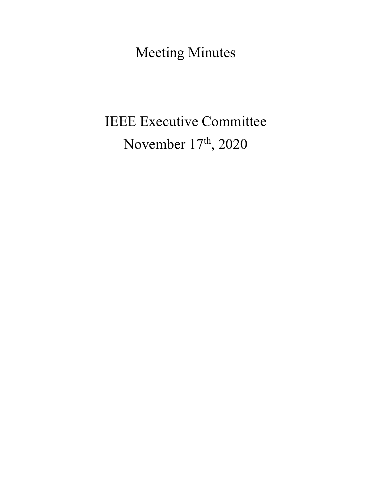Meeting Minutes

# IEEE Executive Committee November 17<sup>th</sup>, 2020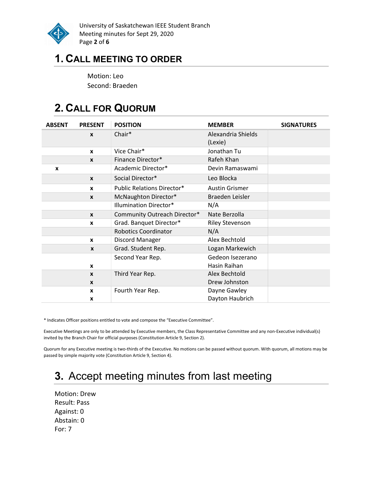

University of Saskatchewan IEEE Student Branch Meeting minutes for Sept 29, 2020 Page 2 of 6

### 1. CALL MEETING TO ORDER

Motion: Leo Second: Braeden

# 2. CALL FOR QUORUM

| <b>ABSENT</b> | <b>PRESENT</b>   | <b>POSITION</b>                   | <b>MEMBER</b>          | <b>SIGNATURES</b> |
|---------------|------------------|-----------------------------------|------------------------|-------------------|
|               | $\boldsymbol{x}$ | Chair*                            | Alexandria Shields     |                   |
|               |                  |                                   | (Lexie)                |                   |
|               | $\mathbf{x}$     | Vice Chair*                       | Jonathan Tu            |                   |
|               | $\boldsymbol{x}$ | Finance Director*                 | Rafeh Khan             |                   |
| X             |                  | Academic Director*                | Devin Ramaswami        |                   |
|               | $\mathbf{x}$     | Social Director*                  | Leo Blocka             |                   |
|               | $\mathbf{x}$     | <b>Public Relations Director*</b> | <b>Austin Grismer</b>  |                   |
|               | $\mathbf{x}$     | McNaughton Director*              | Braeden Leisler        |                   |
|               |                  | Illumination Director*            | N/A                    |                   |
|               | $\mathbf{x}$     | Community Outreach Director*      | Nate Berzolla          |                   |
|               | X                | Grad. Banquet Director*           | <b>Riley Stevenson</b> |                   |
|               |                  | <b>Robotics Coordinator</b>       | N/A                    |                   |
|               | $\mathbf{x}$     | Discord Manager                   | Alex Bechtold          |                   |
|               | $\mathbf{x}$     | Grad. Student Rep.                | Logan Markewich        |                   |
|               |                  | Second Year Rep.                  | Gedeon Isezerano       |                   |
|               | X                |                                   | Hasin Raihan           |                   |
|               | $\mathbf{x}$     | Third Year Rep.                   | Alex Bechtold          |                   |
|               | $\boldsymbol{x}$ |                                   | Drew Johnston          |                   |
|               | $\mathbf{x}$     | Fourth Year Rep.                  | Dayne Gawley           |                   |
|               | X                |                                   | Dayton Haubrich        |                   |

\* Indicates Officer positions entitled to vote and compose the "Executive Committee".

Executive Meetings are only to be attended by Executive members, the Class Representative Committee and any non-Executive individual(s) invited by the Branch Chair for official purposes (Constitution Article 9, Section 2).

Quorum for any Executive meeting is two-thirds of the Executive. No motions can be passed without quorum. With quorum, all motions may be passed by simple majority vote (Constitution Article 9, Section 4).

# 3. Accept meeting minutes from last meeting

Motion: Drew Result: Pass Against: 0 Abstain: 0 For: 7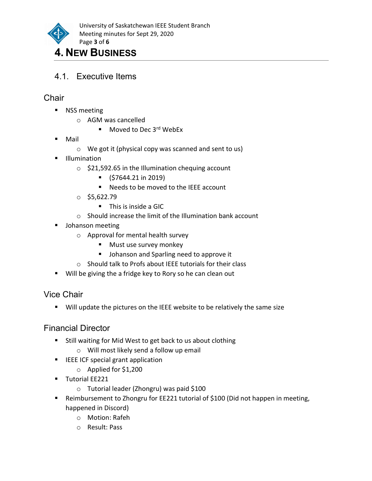

### 4. NEW BUSINESS

4.1. Executive Items

#### **Chair**

- **NSS meeting** 
	- o AGM was cancelled
		- $\blacksquare$  Moved to Dec 3<sup>rd</sup> WebEx
- Mail
	- o We got it (physical copy was scanned and sent to us)
- **Illumination** 
	- $\circ$  \$21,592.65 in the Illumination chequing account
		- $\bullet$  (\$7644.21 in 2019)
		- Needs to be moved to the IEEE account
	- $O$  \$5,622.79
		- **This is inside a GIC**
	- o Should increase the limit of the Illumination bank account
- **Johanson meeting** 
	- o Approval for mental health survey
		- **Must use survey monkey**
		- **Johanson and Sparling need to approve it**
	- o Should talk to Profs about IEEE tutorials for their class
- Will be giving the a fridge key to Rory so he can clean out

#### Vice Chair

**Will update the pictures on the IEEE website to be relatively the same size** 

#### Financial Director

- **E** Still waiting for Mid West to get back to us about clothing
	- o Will most likely send a follow up email
- **IFEE ICF special grant application** 
	- o Applied for \$1,200
- **Tutorial EE221** 
	- o Tutorial leader (Zhongru) was paid \$100
- Reimbursement to Zhongru for EE221 tutorial of \$100 (Did not happen in meeting, happened in Discord)
	- o Motion: Rafeh
	- o Result: Pass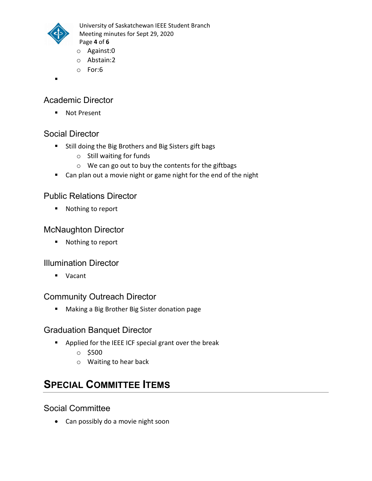

University of Saskatchewan IEEE Student Branch Meeting minutes for Sept 29, 2020 Page 4 of 6

- o Against:0
- o Abstain:2
- o For:6
- .

#### Academic Director

■ Not Present

#### Social Director

- **Still doing the Big Brothers and Big Sisters gift bags** 
	- o Still waiting for funds
	- o We can go out to buy the contents for the giftbags
- Can plan out a movie night or game night for the end of the night

#### Public Relations Director

■ Nothing to report

#### McNaughton Director

■ Nothing to report

#### Illumination Director

Vacant

#### Community Outreach Director

Making a Big Brother Big Sister donation page

#### Graduation Banquet Director

- **P** Applied for the IEEE ICF special grant over the break
	- $\circ$  \$500
	- o Waiting to hear back

# SPECIAL COMMITTEE ITEMS

#### Social Committee

• Can possibly do a movie night soon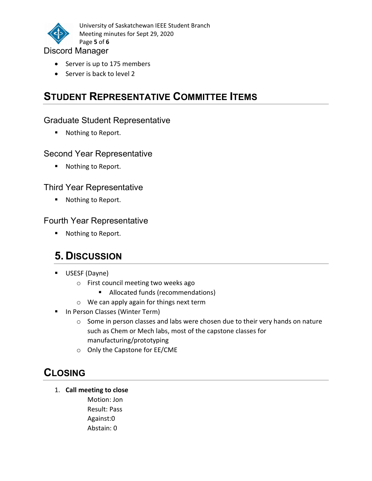

University of Saskatchewan IEEE Student Branch Meeting minutes for Sept 29, 2020 Page 5 of 6

#### Discord Manager

- Server is up to 175 members
- Server is back to level 2

# STUDENT REPRESENTATIVE COMMITTEE ITEMS

#### Graduate Student Representative

■ Nothing to Report.

#### Second Year Representative

■ Nothing to Report.

#### Third Year Representative

■ Nothing to Report.

#### Fourth Year Representative

■ Nothing to Report.

## 5. DISCUSSION

- USESF (Dayne)
	- o First council meeting two weeks ago
		- **Allocated funds (recommendations)**
	- o We can apply again for things next term
- **In Person Classes (Winter Term)** 
	- o Some in person classes and labs were chosen due to their very hands on nature such as Chem or Mech labs, most of the capstone classes for manufacturing/prototyping
	- o Only the Capstone for EE/CME

## **CLOSING**

1. Call meeting to close

Motion: Jon Result: Pass Against:0 Abstain: 0